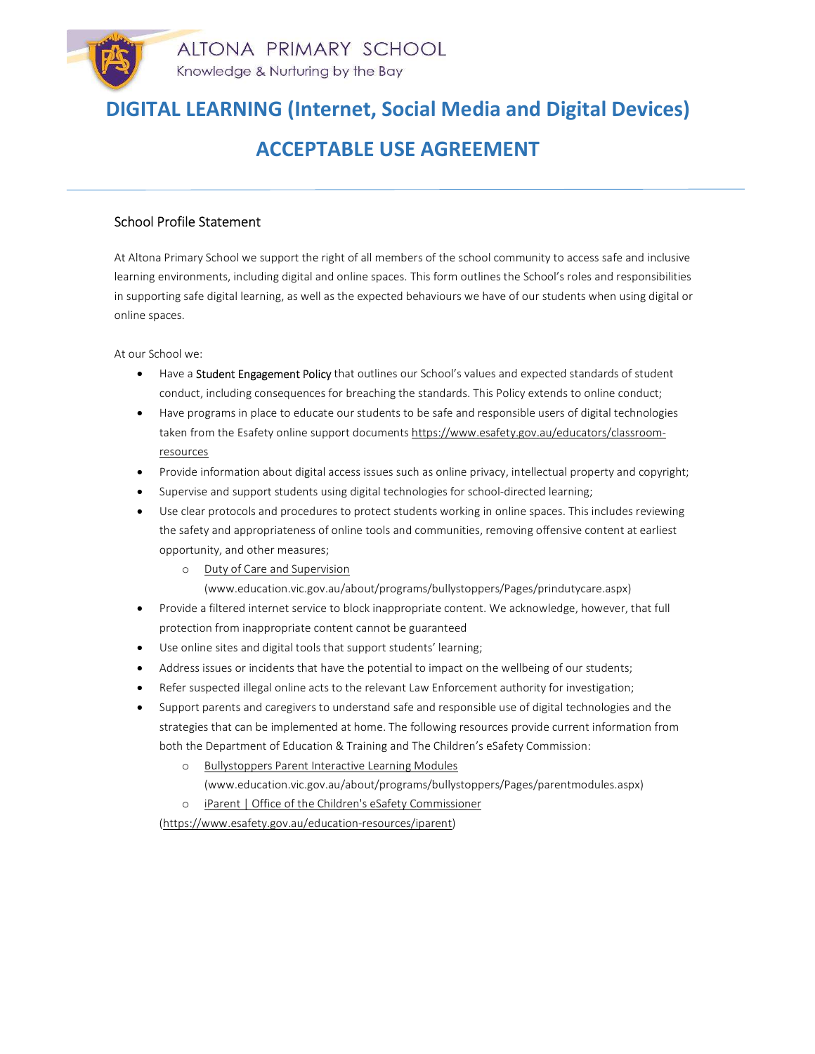# ACCEPTABLE USE AGREEMENT

### School Profile Statement

At Altona Primary School we support the right of all members of the school community to access safe and inclusive learning environments, including digital and online spaces. This form outlines the School's roles and responsibilities in supporting safe digital learning, as well as the expected behaviours we have of our students when using digital or online spaces.

At our School we:

- Have a Student Engagement Policy that outlines our School's values and expected standards of student conduct, including consequences for breaching the standards. This Policy extends to online conduct;
- Have programs in place to educate our students to be safe and responsible users of digital technologies taken from the Esafety online support documents https://www.esafety.gov.au/educators/classroomresources
- Provide information about digital access issues such as online privacy, intellectual property and copyright;
- Supervise and support students using digital technologies for school-directed learning;
- Use clear protocols and procedures to protect students working in online spaces. This includes reviewing the safety and appropriateness of online tools and communities, removing offensive content at earliest opportunity, and other measures;
	- o Duty of Care and Supervision (www.education.vic.gov.au/about/programs/bullystoppers/Pages/prindutycare.aspx)
- Provide a filtered internet service to block inappropriate content. We acknowledge, however, that full protection from inappropriate content cannot be guaranteed
- Use online sites and digital tools that support students' learning;
- Address issues or incidents that have the potential to impact on the wellbeing of our students;
- Refer suspected illegal online acts to the relevant Law Enforcement authority for investigation;
- Support parents and caregivers to understand safe and responsible use of digital technologies and the strategies that can be implemented at home. The following resources provide current information from both the Department of Education & Training and The Children's eSafety Commission:
	- o Bullystoppers Parent Interactive Learning Modules (www.education.vic.gov.au/about/programs/bullystoppers/Pages/parentmodules.aspx)
	- o iParent | Office of the Children's eSafety Commissioner

(https://www.esafety.gov.au/education-resources/iparent)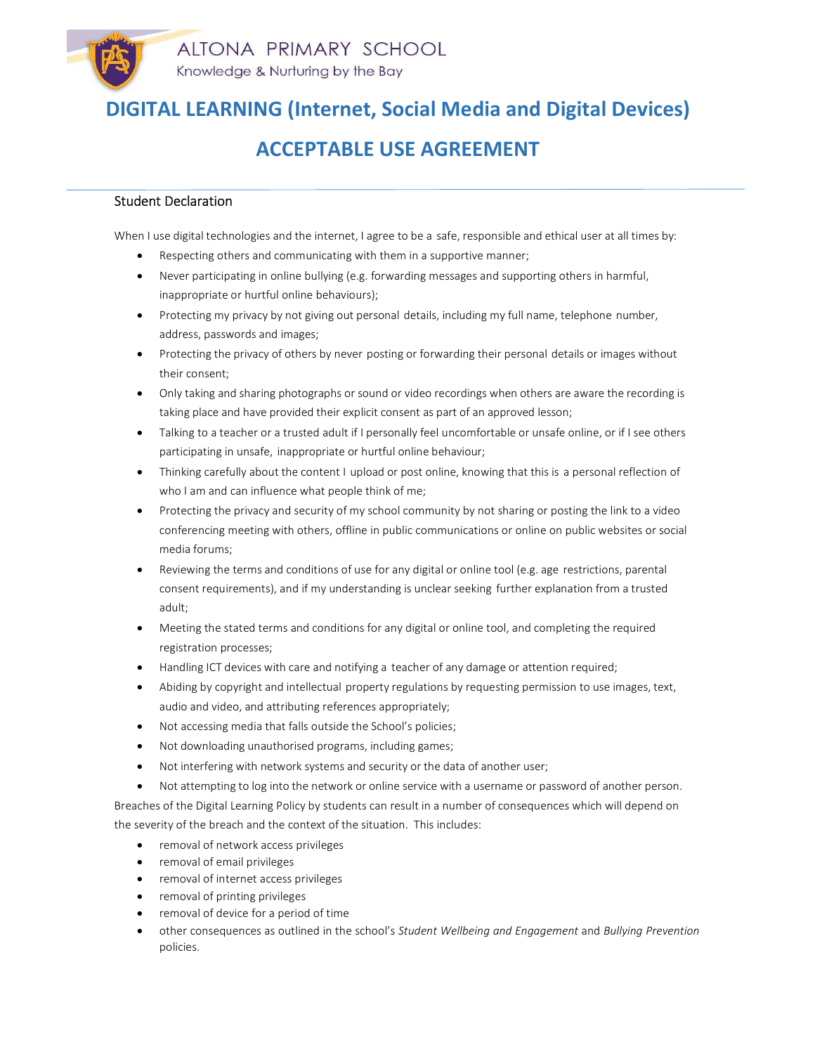# ACCEPTABLE USE AGREEMENT

#### Student Declaration

When I use digital technologies and the internet, I agree to be a safe, responsible and ethical user at all times by:

- Respecting others and communicating with them in a supportive manner;
- Never participating in online bullying (e.g. forwarding messages and supporting others in harmful, inappropriate or hurtful online behaviours);
- Protecting my privacy by not giving out personal details, including my full name, telephone number, address, passwords and images;
- Protecting the privacy of others by never posting or forwarding their personal details or images without their consent;
- Only taking and sharing photographs or sound or video recordings when others are aware the recording is taking place and have provided their explicit consent as part of an approved lesson;
- Talking to a teacher or a trusted adult if I personally feel uncomfortable or unsafe online, or if I see others participating in unsafe, inappropriate or hurtful online behaviour;
- Thinking carefully about the content I upload or post online, knowing that this is a personal reflection of who I am and can influence what people think of me;
- Protecting the privacy and security of my school community by not sharing or posting the link to a video conferencing meeting with others, offline in public communications or online on public websites or social media forums;
- Reviewing the terms and conditions of use for any digital or online tool (e.g. age restrictions, parental consent requirements), and if my understanding is unclear seeking further explanation from a trusted adult;
- Meeting the stated terms and conditions for any digital or online tool, and completing the required registration processes;
- Handling ICT devices with care and notifying a teacher of any damage or attention required;
- Abiding by copyright and intellectual property regulations by requesting permission to use images, text, audio and video, and attributing references appropriately;
- Not accessing media that falls outside the School's policies;
- Not downloading unauthorised programs, including games;
- Not interfering with network systems and security or the data of another user;
- Not attempting to log into the network or online service with a username or password of another person.

Breaches of the Digital Learning Policy by students can result in a number of consequences which will depend on the severity of the breach and the context of the situation. This includes:

- removal of network access privileges
- removal of email privileges
- removal of internet access privileges
- removal of printing privileges
- removal of device for a period of time
- other consequences as outlined in the school's Student Wellbeing and Engagement and Bullying Prevention policies.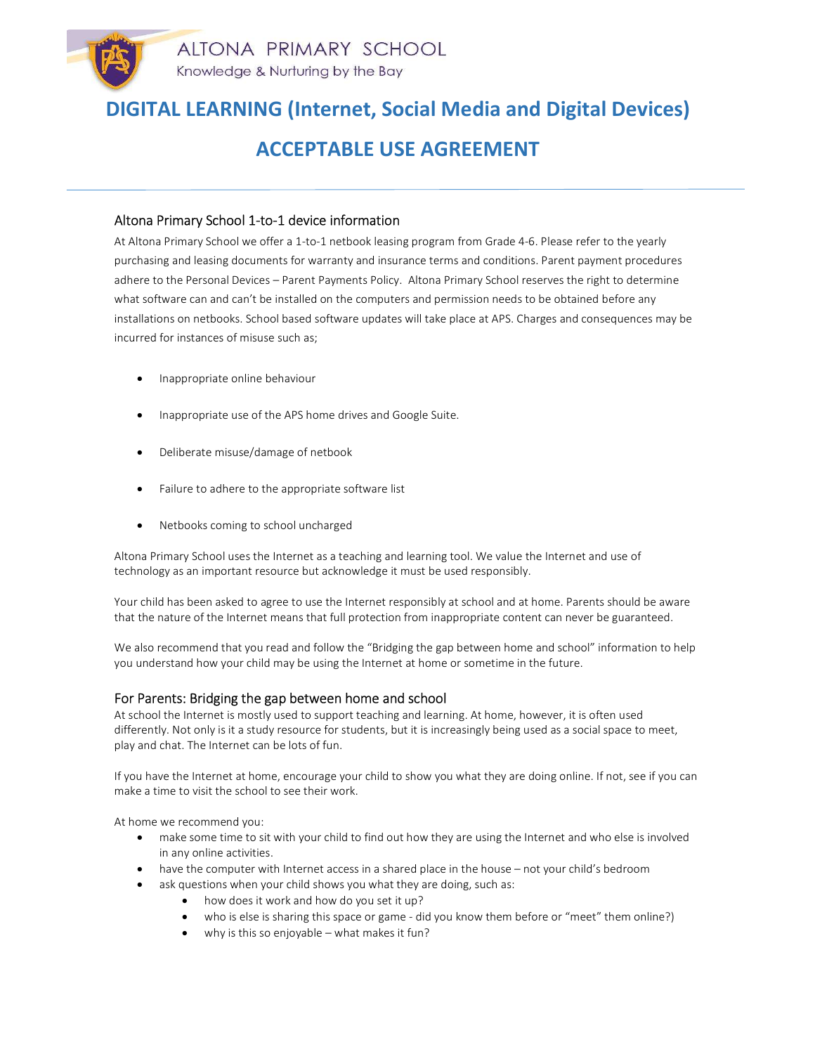## ACCEPTABLE USE AGREEMENT

#### Altona Primary School 1-to-1 device information

At Altona Primary School we offer a 1-to-1 netbook leasing program from Grade 4-6. Please refer to the yearly purchasing and leasing documents for warranty and insurance terms and conditions. Parent payment procedures adhere to the Personal Devices – Parent Payments Policy. Altona Primary School reserves the right to determine what software can and can't be installed on the computers and permission needs to be obtained before any installations on netbooks. School based software updates will take place at APS. Charges and consequences may be incurred for instances of misuse such as;

- Inappropriate online behaviour
- Inappropriate use of the APS home drives and Google Suite.
- Deliberate misuse/damage of netbook
- Failure to adhere to the appropriate software list
- Netbooks coming to school uncharged

Altona Primary School uses the Internet as a teaching and learning tool. We value the Internet and use of technology as an important resource but acknowledge it must be used responsibly.

Your child has been asked to agree to use the Internet responsibly at school and at home. Parents should be aware that the nature of the Internet means that full protection from inappropriate content can never be guaranteed.

We also recommend that you read and follow the "Bridging the gap between home and school" information to help you understand how your child may be using the Internet at home or sometime in the future.

#### For Parents: Bridging the gap between home and school

At school the Internet is mostly used to support teaching and learning. At home, however, it is often used differently. Not only is it a study resource for students, but it is increasingly being used as a social space to meet, play and chat. The Internet can be lots of fun.

If you have the Internet at home, encourage your child to show you what they are doing online. If not, see if you can make a time to visit the school to see their work.

At home we recommend you:

- make some time to sit with your child to find out how they are using the Internet and who else is involved in any online activities.
- have the computer with Internet access in a shared place in the house not your child's bedroom
- ask questions when your child shows you what they are doing, such as:
	- how does it work and how do you set it up?
	- who is else is sharing this space or game did you know them before or "meet" them online?)
	- why is this so enjoyable what makes it fun?